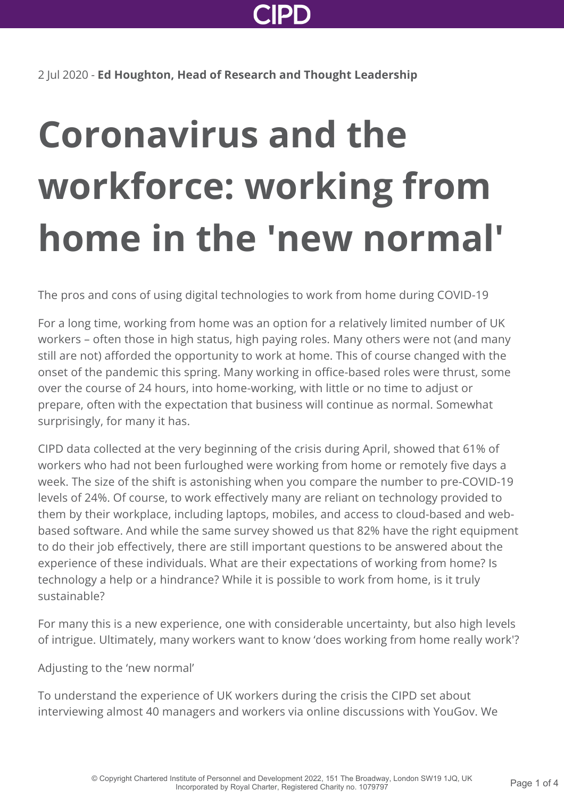

2 Jul 2020 - **Ed Houghton, Head of Research and Thought Leadership**

## **Coronavirus and the workforce: working from home in the 'new normal'**

The pros and cons of using digital technologies to work from home during COVID-19

For a long time, working from home was an option for a relatively limited number of UK workers – often those in high status, high paying roles. Many others were not (and many still are not) afforded the opportunity to work at home. This of course changed with the onset of the pandemic this spring. Many working in office-based roles were thrust, some over the course of 24 hours, into home-working, with little or no time to adjust or prepare, often with the expectation that business will continue as normal. Somewhat surprisingly, for many it has.

CIPD data collected at the very beginning of the crisis during April, showed that 61% of workers who had not been furloughed were working from home or remotely five days a week. The size of the shift is astonishing when you compare the number to pre-COVID-19 levels of 24%. Of course, to work effectively many are reliant on technology provided to them by their workplace, including laptops, mobiles, and access to cloud-based and webbased software. And while the same survey showed us that 82% have the right equipment to do their job effectively, there are still important questions to be answered about the experience of these individuals. What are their expectations of working from home? Is technology a help or a hindrance? While it is possible to work from home, is it truly sustainable?

For many this is a new experience, one with considerable uncertainty, but also high levels of intrigue. Ultimately, many workers want to know 'does working from home really work'?

Adjusting to the 'new normal'

To understand the experience of UK workers during the crisis the CIPD set about interviewing almost 40 managers and workers via online discussions with YouGov. We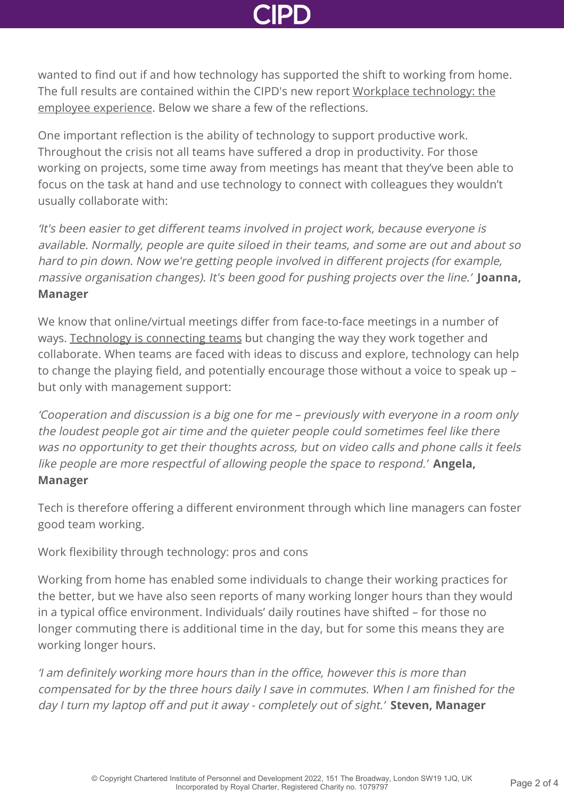wanted to find out if and how technology has supported the shift to working from home. [The full results are contained within the CIPD's new report Workplace technology: the](https://www.cipd.co.uk/knowledge/work/technology/workplace-technology-employee) employee experience. Below we share a few of the reflections.

One important reflection is the ability of technology to support productive work. Throughout the crisis not all teams have suffered a drop in productivity. For those working on projects, some time away from meetings has meant that they've been able to focus on the task at hand and use technology to connect with colleagues they wouldn't usually collaborate with:

'It's been easier to get different teams involved in project work, because everyone is available. Normally, people are quite siloed in their teams, and some are out and about so hard to pin down. Now we're getting people involved in different projects (for example, massive organisation changes). It's been good for pushing projects over the line.' **Joanna, Manager**

We know that online/virtual meetings differ from face-to-face meetings in a number of ways. [Technology is connecting teams](https://www.cipd.co.uk/knowledge/fundamentals/relations/flexible-working/developing-virtual-teams) but changing the way they work together and collaborate. When teams are faced with ideas to discuss and explore, technology can help to change the playing field, and potentially encourage those without a voice to speak up – but only with management support:

'Cooperation and discussion is a big one for me – previously with everyone in a room only the loudest people got air time and the quieter people could sometimes feel like there was no opportunity to get their thoughts across, but on video calls and phone calls it feels like people are more respectful of allowing people the space to respond.' **Angela, Manager**

Tech is therefore offering a different environment through which line managers can foster good team working.

Work flexibility through technology: pros and cons

Working from home has enabled some individuals to change their working practices for the better, but we have also seen reports of many working longer hours than they would in a typical office environment. Individuals' daily routines have shifted – for those no longer commuting there is additional time in the day, but for some this means they are working longer hours.

'I am definitely working more hours than in the office, however this is more than compensated for by the three hours daily I save in commutes. When I am finished for the day I turn my laptop off and put it away - completely out of sight.' **Steven, Manager**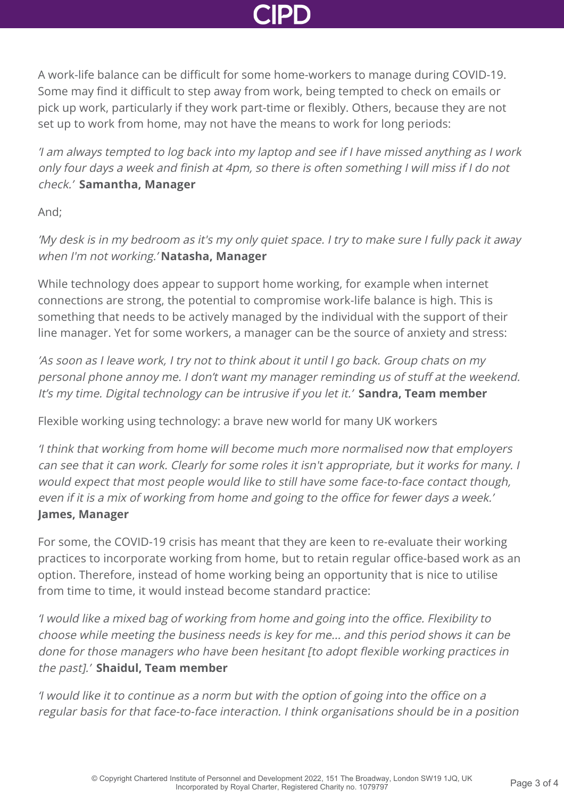A work-life balance can be difficult for some home-workers to manage during COVID-19. Some may find it difficult to step away from work, being tempted to check on emails or pick up work, particularly if they work part-time or flexibly. Others, because they are not set up to work from home, may not have the means to work for long periods:

'I am always tempted to log back into my laptop and see if I have missed anything as I work only four days a week and finish at 4pm, so there is often something I will miss if I do not check.' **Samantha, Manager**

And;

'My desk is in my bedroom as it's my only quiet space. I try to make sure I fully pack it away when I'm not working.' **Natasha, Manager**

While technology does appear to support home working, for example when internet connections are strong, the potential to compromise work-life balance is high. This is something that needs to be actively managed by the individual with the support of their line manager. Yet for some workers, a manager can be the source of anxiety and stress:

'As soon as I leave work, I try not to think about it until I go back. Group chats on my personal phone annoy me. I don't want my manager reminding us of stuff at the weekend. It's my time. Digital technology can be intrusive if you let it.' **Sandra, Team member**

Flexible working using technology: a brave new world for many UK workers

'I think that working from home will become much more normalised now that employers can see that it can work. Clearly for some roles it isn't appropriate, but it works for many. I would expect that most people would like to still have some face-to-face contact though, even if it is a mix of working from home and going to the office for fewer days a week.' **James, Manager**

For some, the COVID-19 crisis has meant that they are keen to re-evaluate their working practices to incorporate working from home, but to retain regular office-based work as an option. Therefore, instead of home working being an opportunity that is nice to utilise from time to time, it would instead become standard practice:

'I would like a mixed bag of working from home and going into the office. Flexibility to choose while meeting the business needs is key for me... and this period shows it can be done for those managers who have been hesitant [to adopt flexible working practices in the past].' **Shaidul, Team member**

'I would like it to continue as a norm but with the option of going into the office on a regular basis for that face-to-face interaction. I think organisations should be in a position